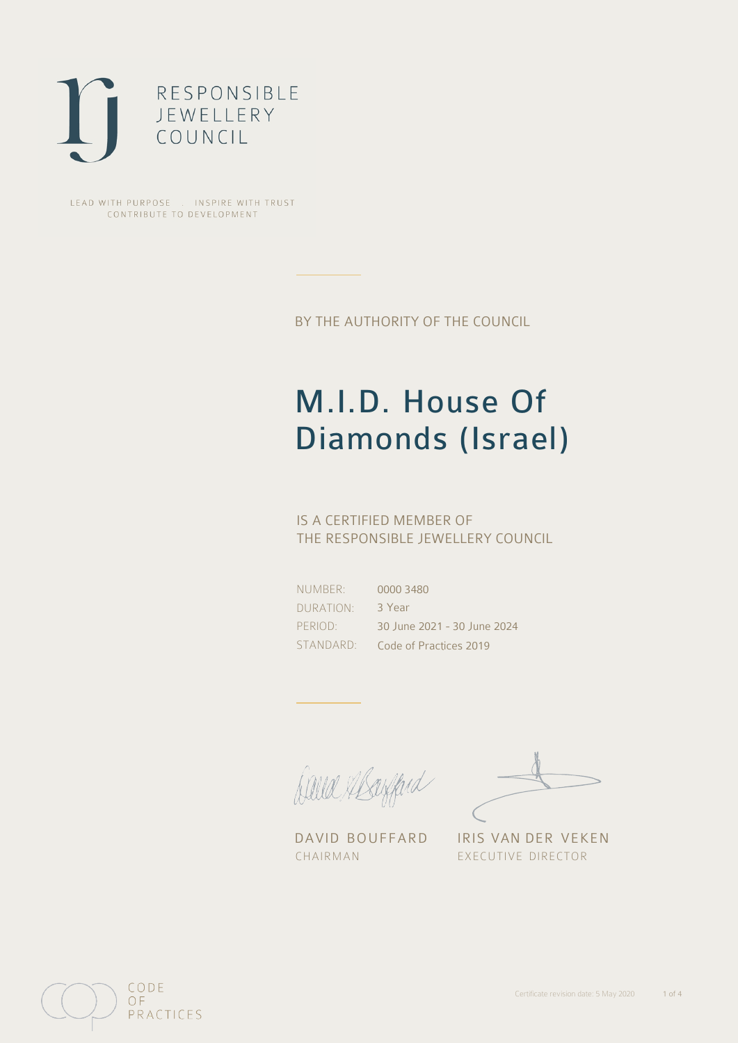

LEAD WITH PURPOSE . INSPIRE WITH TRUST CONTRIBUTE TO DEVELOPMENT

BY THE AUTHORITY OF THE COUNCIL

# M.I.D. House Of Diamonds (Israel)

## IS A CERTIFIED MEMBER OF THE RESPONSIBLE JEWELLERY COUNCIL

NUMBER: DURATION: PERIOD:

STANDARD: Code of Practices 2019 0000 3480 3 Year 30 June 2021 - 30 June 2024

David Alsofferd

DAVID BOUFFARD IRIS VAN DER VEKEN CHAIRMAN EXECUTIVE DIRECTOR

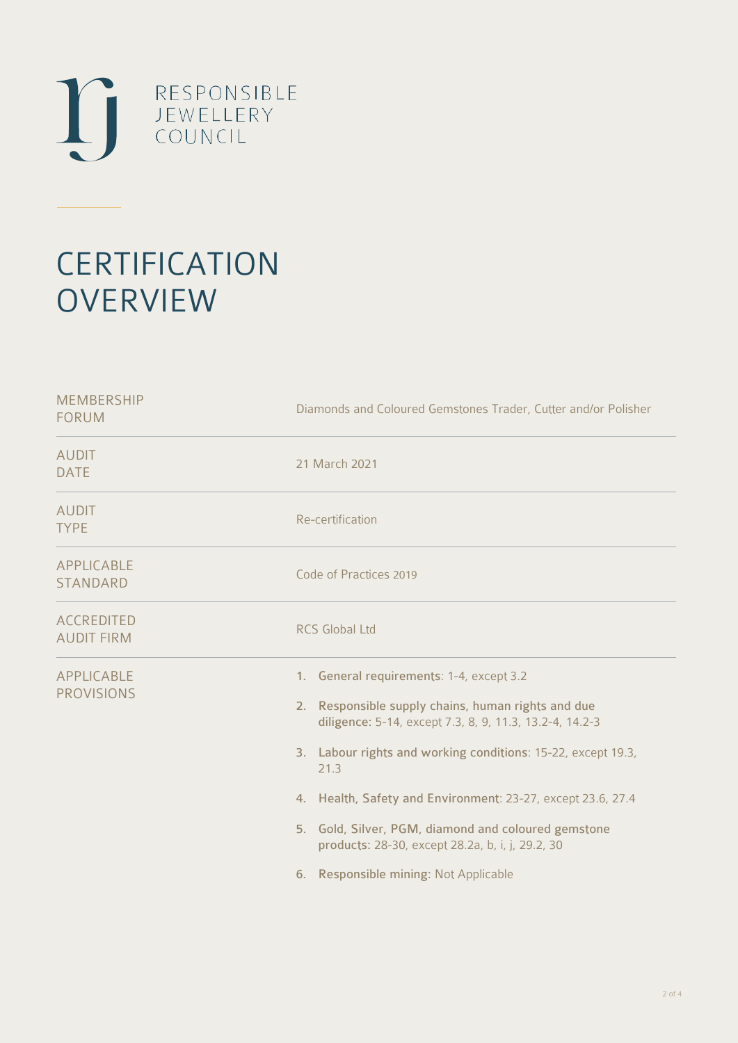

# **CERTIFICATION OVERVIEW**

| <b>MEMBERSHIP</b><br><b>FORUM</b>      | Diamonds and Coloured Gemstones Trader, Cutter and/or Polisher                                                                                                                                                                                                                                                                                                                                                                                       |  |  |
|----------------------------------------|------------------------------------------------------------------------------------------------------------------------------------------------------------------------------------------------------------------------------------------------------------------------------------------------------------------------------------------------------------------------------------------------------------------------------------------------------|--|--|
| <b>AUDIT</b><br><b>DATE</b>            | 21 March 2021                                                                                                                                                                                                                                                                                                                                                                                                                                        |  |  |
| <b>AUDIT</b><br><b>TYPE</b>            | Re-certification                                                                                                                                                                                                                                                                                                                                                                                                                                     |  |  |
| APPLICABLE<br><b>STANDARD</b>          | Code of Practices 2019                                                                                                                                                                                                                                                                                                                                                                                                                               |  |  |
| <b>ACCREDITED</b><br><b>AUDIT FIRM</b> | <b>RCS Global Ltd</b>                                                                                                                                                                                                                                                                                                                                                                                                                                |  |  |
| <b>APPLICABLE</b><br><b>PROVISIONS</b> | 1. General requirements: 1-4, except 3.2<br>2. Responsible supply chains, human rights and due<br>diligence: 5-14, except 7.3, 8, 9, 11.3, 13.2-4, 14.2-3<br>3. Labour rights and working conditions: 15-22, except 19.3,<br>21.3<br>4. Health, Safety and Environment: 23-27, except 23.6, 27.4<br>5. Gold, Silver, PGM, diamond and coloured gemstone<br>products: 28-30, except 28.2a, b, i, j, 29.2, 30<br>6. Responsible mining: Not Applicable |  |  |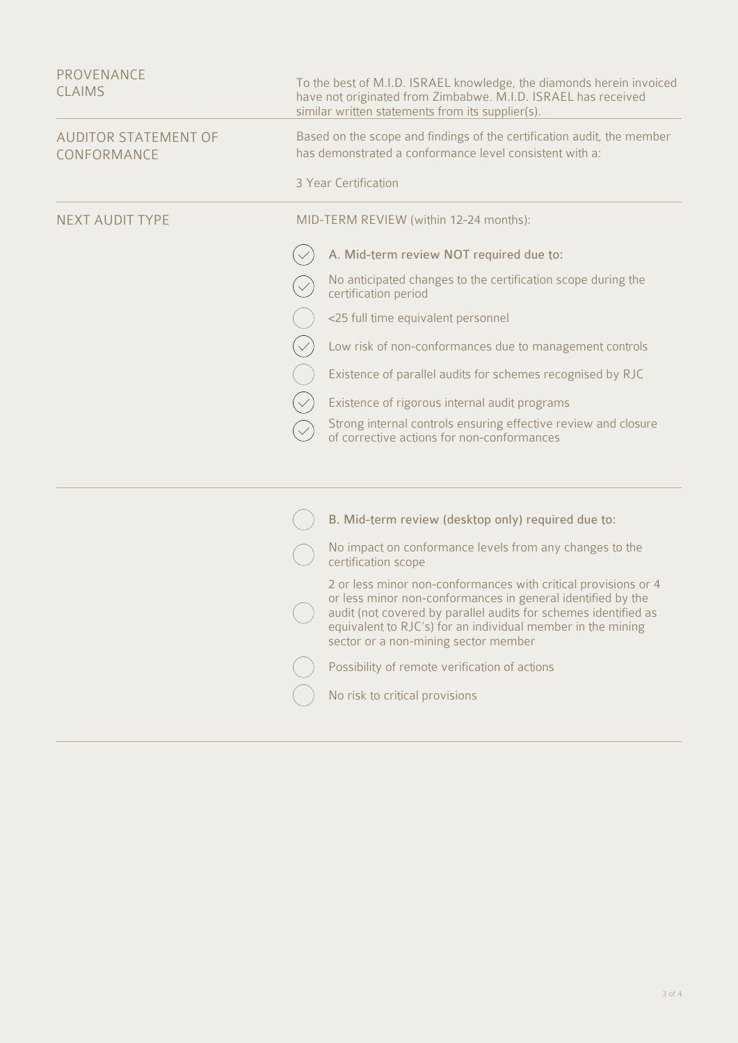| <b>PROVENANCE</b><br><b>CLAIMS</b>         |                                                                                                                                                           | To the best of M.I.D. ISRAEL knowledge, the diamonds herein invoiced<br>have not originated from Zimbabwe. M.I.D. ISRAEL has received<br>similar written statements from its supplier(s).                                                                                                               |  |  |
|--------------------------------------------|-----------------------------------------------------------------------------------------------------------------------------------------------------------|---------------------------------------------------------------------------------------------------------------------------------------------------------------------------------------------------------------------------------------------------------------------------------------------------------|--|--|
| <b>AUDITOR STATEMENT OF</b><br>CONFORMANCE | Based on the scope and findings of the certification audit, the member<br>has demonstrated a conformance level consistent with a:<br>3 Year Certification |                                                                                                                                                                                                                                                                                                         |  |  |
|                                            |                                                                                                                                                           |                                                                                                                                                                                                                                                                                                         |  |  |
| <b>NEXT AUDIT TYPE</b>                     |                                                                                                                                                           | MID-TERM REVIEW (within 12-24 months):                                                                                                                                                                                                                                                                  |  |  |
|                                            |                                                                                                                                                           | A. Mid-term review NOT required due to:                                                                                                                                                                                                                                                                 |  |  |
|                                            |                                                                                                                                                           | No anticipated changes to the certification scope during the<br>certification period                                                                                                                                                                                                                    |  |  |
|                                            |                                                                                                                                                           | <25 full time equivalent personnel                                                                                                                                                                                                                                                                      |  |  |
|                                            |                                                                                                                                                           | Low risk of non-conformances due to management controls                                                                                                                                                                                                                                                 |  |  |
|                                            |                                                                                                                                                           | Existence of parallel audits for schemes recognised by RJC                                                                                                                                                                                                                                              |  |  |
|                                            |                                                                                                                                                           | Existence of rigorous internal audit programs                                                                                                                                                                                                                                                           |  |  |
|                                            |                                                                                                                                                           | Strong internal controls ensuring effective review and closure<br>of corrective actions for non-conformances                                                                                                                                                                                            |  |  |
|                                            |                                                                                                                                                           |                                                                                                                                                                                                                                                                                                         |  |  |
|                                            |                                                                                                                                                           | B. Mid-term review (desktop only) required due to:                                                                                                                                                                                                                                                      |  |  |
|                                            |                                                                                                                                                           | No impact on conformance levels from any changes to the<br>certification scope                                                                                                                                                                                                                          |  |  |
|                                            |                                                                                                                                                           | 2 or less minor non-conformances with critical provisions or 4<br>or less minor non-conformances in general identified by the<br>audit (not covered by parallel audits for schemes identified as<br>equivalent to RJC's) for an individual member in the mining<br>sector or a non-mining sector member |  |  |
|                                            |                                                                                                                                                           | Possibility of remote verification of actions                                                                                                                                                                                                                                                           |  |  |
|                                            |                                                                                                                                                           | No risk to critical provisions                                                                                                                                                                                                                                                                          |  |  |